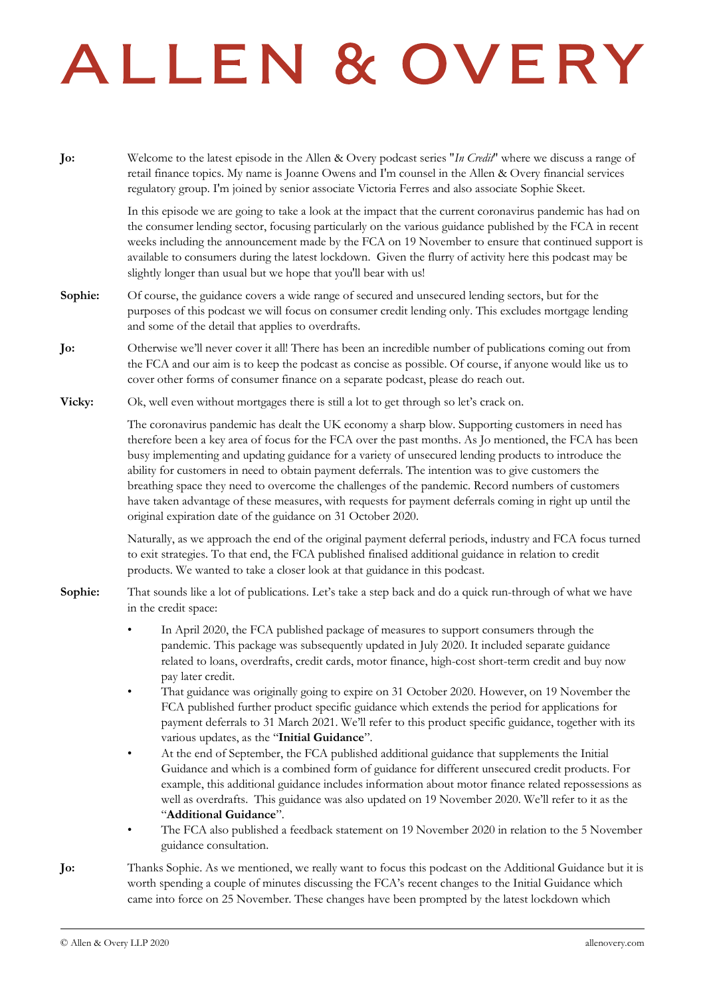## ALLEN & OVERY

**Jo:** Welcome to the latest episode in the Allen & Overy podcast series "*In Credit*" where we discuss a range of retail finance topics. My name is Joanne Owens and I'm counsel in the Allen & Overy financial services regulatory group. I'm joined by senior associate Victoria Ferres and also associate Sophie Skeet.

> In this episode we are going to take a look at the impact that the current coronavirus pandemic has had on the consumer lending sector, focusing particularly on the various guidance published by the FCA in recent weeks including the announcement made by the FCA on 19 November to ensure that continued support is available to consumers during the latest lockdown. Given the flurry of activity here this podcast may be slightly longer than usual but we hope that you'll bear with us!

- **Sophie:** Of course, the guidance covers a wide range of secured and unsecured lending sectors, but for the purposes of this podcast we will focus on consumer credit lending only. This excludes mortgage lending and some of the detail that applies to overdrafts.
- **Jo:** Otherwise we'll never cover it all! There has been an incredible number of publications coming out from the FCA and our aim is to keep the podcast as concise as possible. Of course, if anyone would like us to cover other forms of consumer finance on a separate podcast, please do reach out.
- **Vicky:** Ok, well even without mortgages there is still a lot to get through so let's crack on.

The coronavirus pandemic has dealt the UK economy a sharp blow. Supporting customers in need has therefore been a key area of focus for the FCA over the past months. As Jo mentioned, the FCA has been busy implementing and updating guidance for a variety of unsecured lending products to introduce the ability for customers in need to obtain payment deferrals. The intention was to give customers the breathing space they need to overcome the challenges of the pandemic. Record numbers of customers have taken advantage of these measures, with requests for payment deferrals coming in right up until the original expiration date of the guidance on 31 October 2020.

Naturally, as we approach the end of the original payment deferral periods, industry and FCA focus turned to exit strategies. To that end, the FCA published finalised additional guidance in relation to credit products. We wanted to take a closer look at that guidance in this podcast.

- **Sophie:** That sounds like a lot of publications. Let's take a step back and do a quick run-through of what we have in the credit space:
	- In April 2020, the FCA published package of measures to support consumers through the pandemic. This package was subsequently updated in July 2020. It included separate guidance related to loans, overdrafts, credit cards, motor finance, high-cost short-term credit and buy now pay later credit.
	- That guidance was originally going to expire on 31 October 2020. However, on 19 November the FCA published further product specific guidance which extends the period for applications for payment deferrals to 31 March 2021. We'll refer to this product specific guidance, together with its various updates, as the "**Initial Guidance**".
	- At the end of September, the FCA published additional guidance that supplements the Initial Guidance and which is a combined form of guidance for different unsecured credit products. For example, this additional guidance includes information about motor finance related repossessions as well as overdrafts. This guidance was also updated on 19 November 2020. We'll refer to it as the "**Additional Guidance**".
	- The FCA also published a feedback statement on 19 November 2020 in relation to the 5 November guidance consultation.
- **Jo:** Thanks Sophie. As we mentioned, we really want to focus this podcast on the Additional Guidance but it is worth spending a couple of minutes discussing the FCA's recent changes to the Initial Guidance which came into force on 25 November. These changes have been prompted by the latest lockdown which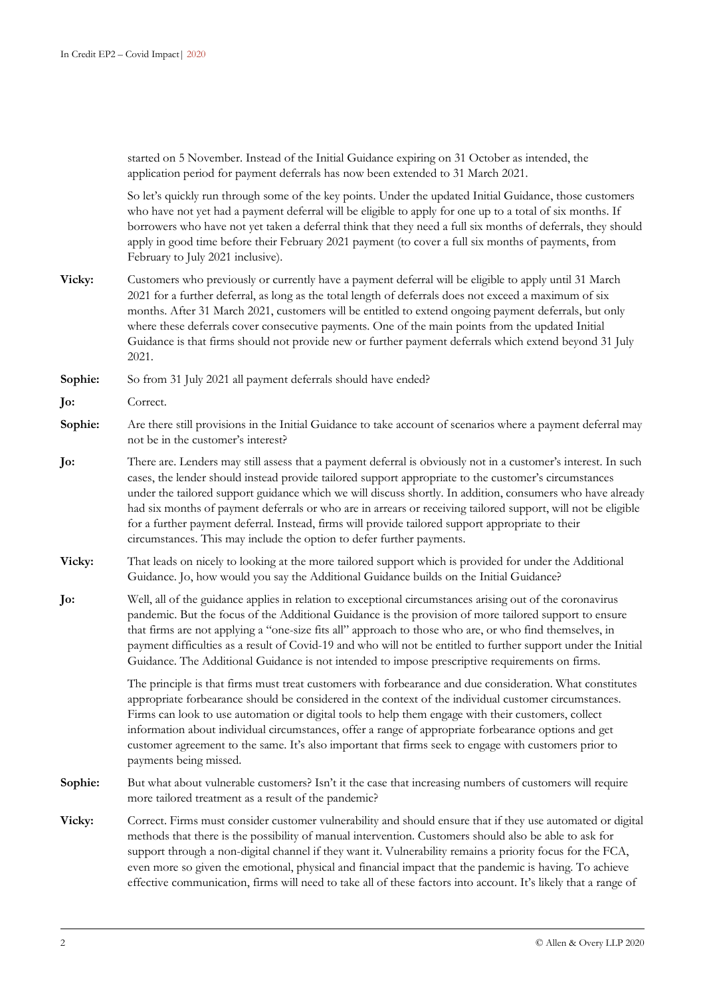started on 5 November. Instead of the Initial Guidance expiring on 31 October as intended, the application period for payment deferrals has now been extended to 31 March 2021.

So let's quickly run through some of the key points. Under the updated Initial Guidance, those customers who have not yet had a payment deferral will be eligible to apply for one up to a total of six months. If borrowers who have not yet taken a deferral think that they need a full six months of deferrals, they should apply in good time before their February 2021 payment (to cover a full six months of payments, from February to July 2021 inclusive).

**Vicky:** Customers who previously or currently have a payment deferral will be eligible to apply until 31 March 2021 for a further deferral, as long as the total length of deferrals does not exceed a maximum of six months. After 31 March 2021, customers will be entitled to extend ongoing payment deferrals, but only where these deferrals cover consecutive payments. One of the main points from the updated Initial Guidance is that firms should not provide new or further payment deferrals which extend beyond 31 July 2021.

**Sophie:** So from 31 July 2021 all payment deferrals should have ended?

**Jo:** Correct.

- **Sophie:** Are there still provisions in the Initial Guidance to take account of scenarios where a payment deferral may not be in the customer's interest?
- **Jo:** There are. Lenders may still assess that a payment deferral is obviously not in a customer's interest. In such cases, the lender should instead provide tailored support appropriate to the customer's circumstances under the tailored support guidance which we will discuss shortly. In addition, consumers who have already had six months of payment deferrals or who are in arrears or receiving tailored support, will not be eligible for a further payment deferral. Instead, firms will provide tailored support appropriate to their circumstances. This may include the option to defer further payments.
- **Vicky:** That leads on nicely to looking at the more tailored support which is provided for under the Additional Guidance. Jo, how would you say the Additional Guidance builds on the Initial Guidance?
- **Jo:** Well, all of the guidance applies in relation to exceptional circumstances arising out of the coronavirus pandemic. But the focus of the Additional Guidance is the provision of more tailored support to ensure that firms are not applying a "one-size fits all" approach to those who are, or who find themselves, in payment difficulties as a result of Covid-19 and who will not be entitled to further support under the Initial Guidance. The Additional Guidance is not intended to impose prescriptive requirements on firms.

The principle is that firms must treat customers with forbearance and due consideration. What constitutes appropriate forbearance should be considered in the context of the individual customer circumstances. Firms can look to use automation or digital tools to help them engage with their customers, collect information about individual circumstances, offer a range of appropriate forbearance options and get customer agreement to the same. It's also important that firms seek to engage with customers prior to payments being missed.

- Sophie: But what about vulnerable customers? Isn't it the case that increasing numbers of customers will require more tailored treatment as a result of the pandemic?
- **Vicky:** Correct. Firms must consider customer vulnerability and should ensure that if they use automated or digital methods that there is the possibility of manual intervention. Customers should also be able to ask for support through a non-digital channel if they want it. Vulnerability remains a priority focus for the FCA, even more so given the emotional, physical and financial impact that the pandemic is having. To achieve effective communication, firms will need to take all of these factors into account. It's likely that a range of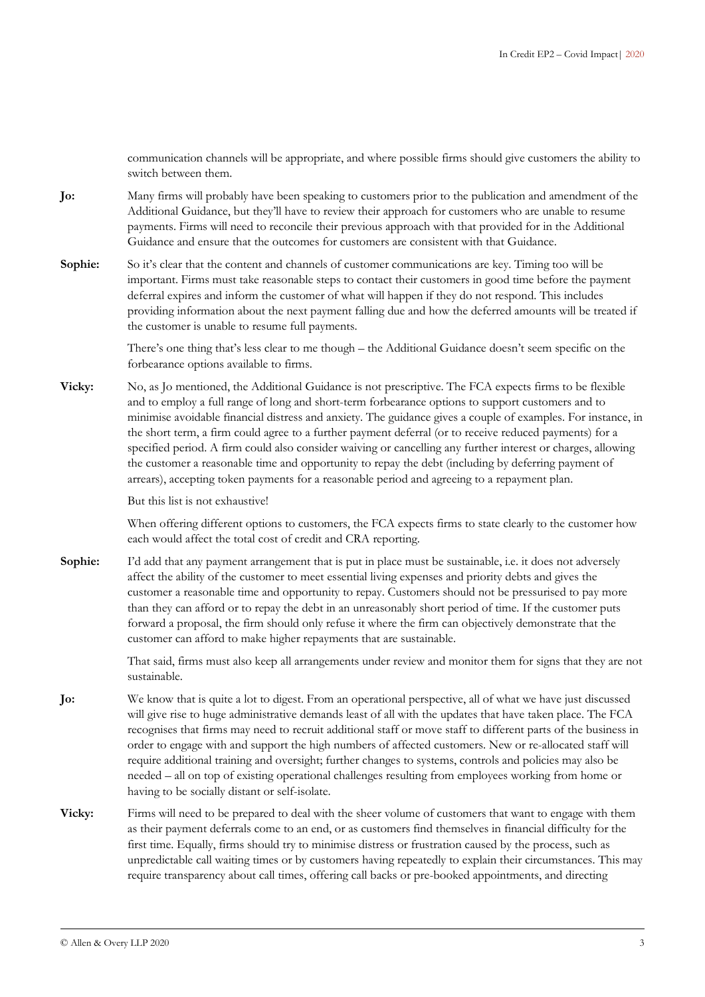communication channels will be appropriate, and where possible firms should give customers the ability to switch between them.

- **Jo:** Many firms will probably have been speaking to customers prior to the publication and amendment of the Additional Guidance, but they'll have to review their approach for customers who are unable to resume payments. Firms will need to reconcile their previous approach with that provided for in the Additional Guidance and ensure that the outcomes for customers are consistent with that Guidance.
- **Sophie:** So it's clear that the content and channels of customer communications are key. Timing too will be important. Firms must take reasonable steps to contact their customers in good time before the payment deferral expires and inform the customer of what will happen if they do not respond. This includes providing information about the next payment falling due and how the deferred amounts will be treated if the customer is unable to resume full payments.

There's one thing that's less clear to me though – the Additional Guidance doesn't seem specific on the forbearance options available to firms.

**Vicky:** No, as Jo mentioned, the Additional Guidance is not prescriptive. The FCA expects firms to be flexible and to employ a full range of long and short-term forbearance options to support customers and to minimise avoidable financial distress and anxiety. The guidance gives a couple of examples. For instance, in the short term, a firm could agree to a further payment deferral (or to receive reduced payments) for a specified period. A firm could also consider waiving or cancelling any further interest or charges, allowing the customer a reasonable time and opportunity to repay the debt (including by deferring payment of arrears), accepting token payments for a reasonable period and agreeing to a repayment plan.

But this list is not exhaustive!

When offering different options to customers, the FCA expects firms to state clearly to the customer how each would affect the total cost of credit and CRA reporting.

**Sophie:** I'd add that any payment arrangement that is put in place must be sustainable, i.e. it does not adversely affect the ability of the customer to meet essential living expenses and priority debts and gives the customer a reasonable time and opportunity to repay. Customers should not be pressurised to pay more than they can afford or to repay the debt in an unreasonably short period of time. If the customer puts forward a proposal, the firm should only refuse it where the firm can objectively demonstrate that the customer can afford to make higher repayments that are sustainable.

> That said, firms must also keep all arrangements under review and monitor them for signs that they are not sustainable.

- **Jo:** We know that is quite a lot to digest. From an operational perspective, all of what we have just discussed will give rise to huge administrative demands least of all with the updates that have taken place. The FCA recognises that firms may need to recruit additional staff or move staff to different parts of the business in order to engage with and support the high numbers of affected customers. New or re-allocated staff will require additional training and oversight; further changes to systems, controls and policies may also be needed – all on top of existing operational challenges resulting from employees working from home or having to be socially distant or self-isolate.
- **Vicky:** Firms will need to be prepared to deal with the sheer volume of customers that want to engage with them as their payment deferrals come to an end, or as customers find themselves in financial difficulty for the first time. Equally, firms should try to minimise distress or frustration caused by the process, such as unpredictable call waiting times or by customers having repeatedly to explain their circumstances. This may require transparency about call times, offering call backs or pre-booked appointments, and directing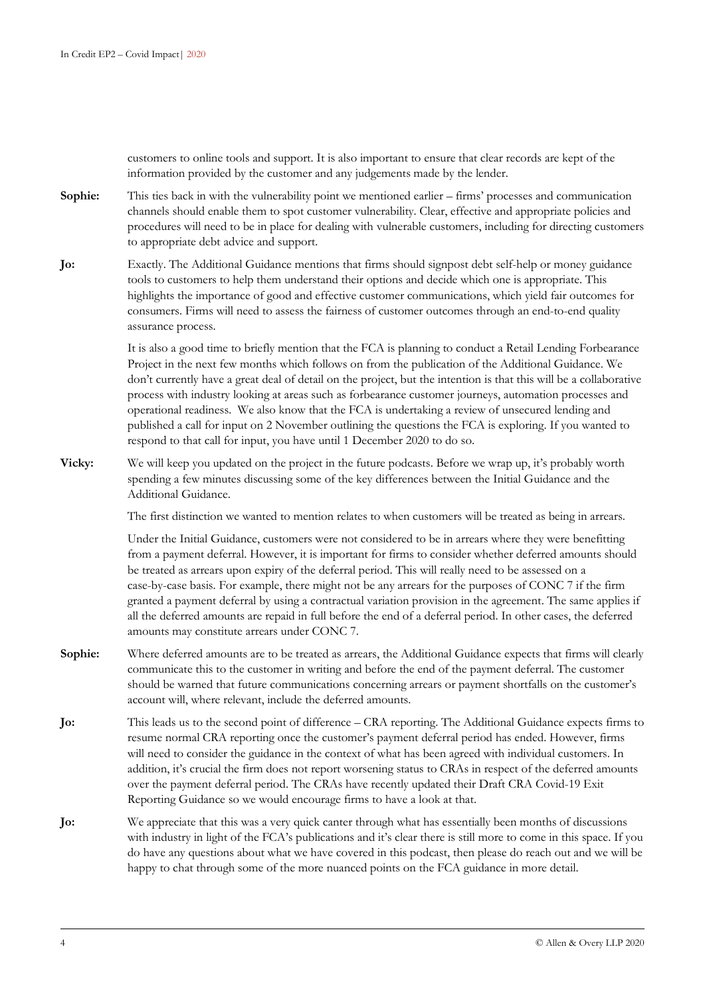customers to online tools and support. It is also important to ensure that clear records are kept of the information provided by the customer and any judgements made by the lender.

**Sophie:** This ties back in with the vulnerability point we mentioned earlier – firms' processes and communication channels should enable them to spot customer vulnerability. Clear, effective and appropriate policies and procedures will need to be in place for dealing with vulnerable customers, including for directing customers to appropriate debt advice and support.

**Jo:** Exactly. The Additional Guidance mentions that firms should signpost debt self-help or money guidance tools to customers to help them understand their options and decide which one is appropriate. This highlights the importance of good and effective customer communications, which yield fair outcomes for consumers. Firms will need to assess the fairness of customer outcomes through an end-to-end quality assurance process.

> It is also a good time to briefly mention that the FCA is planning to conduct a Retail Lending Forbearance Project in the next few months which follows on from the publication of the Additional Guidance. We don't currently have a great deal of detail on the project, but the intention is that this will be a collaborative process with industry looking at areas such as forbearance customer journeys, automation processes and operational readiness. We also know that the FCA is undertaking a review of unsecured lending and published a call for input on 2 November outlining the questions the FCA is exploring. If you wanted to respond to that call for input, you have until 1 December 2020 to do so.

**Vicky:** We will keep you updated on the project in the future podcasts. Before we wrap up, it's probably worth spending a few minutes discussing some of the key differences between the Initial Guidance and the Additional Guidance.

The first distinction we wanted to mention relates to when customers will be treated as being in arrears.

Under the Initial Guidance, customers were not considered to be in arrears where they were benefitting from a payment deferral. However, it is important for firms to consider whether deferred amounts should be treated as arrears upon expiry of the deferral period. This will really need to be assessed on a case-by-case basis. For example, there might not be any arrears for the purposes of CONC 7 if the firm granted a payment deferral by using a contractual variation provision in the agreement. The same applies if all the deferred amounts are repaid in full before the end of a deferral period. In other cases, the deferred amounts may constitute arrears under CONC 7.

- **Sophie:** Where deferred amounts are to be treated as arrears, the Additional Guidance expects that firms will clearly communicate this to the customer in writing and before the end of the payment deferral. The customer should be warned that future communications concerning arrears or payment shortfalls on the customer's account will, where relevant, include the deferred amounts.
- **Jo:** This leads us to the second point of difference CRA reporting. The Additional Guidance expects firms to resume normal CRA reporting once the customer's payment deferral period has ended. However, firms will need to consider the guidance in the context of what has been agreed with individual customers. In addition, it's crucial the firm does not report worsening status to CRAs in respect of the deferred amounts over the payment deferral period. The CRAs have recently updated their Draft CRA Covid-19 Exit Reporting Guidance so we would encourage firms to have a look at that.
- **Jo:** We appreciate that this was a very quick canter through what has essentially been months of discussions with industry in light of the FCA's publications and it's clear there is still more to come in this space. If you do have any questions about what we have covered in this podcast, then please do reach out and we will be happy to chat through some of the more nuanced points on the FCA guidance in more detail.